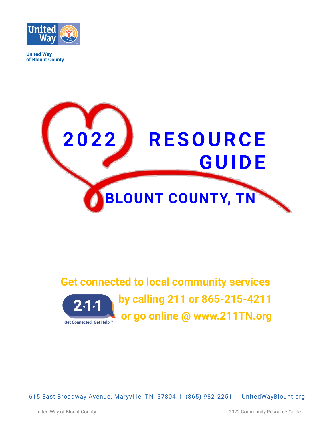

**United Way** of Blount County



# **Get connected to local community services by calling 211 or 865-215-4211 or go online @ www.211TN.org**

1615 East Broadway Avenue, Maryville, TN 37804 | (865) 982 -2251 | UnitedWayBlount.org

United Way of Blount County 2022 Community Resource Guide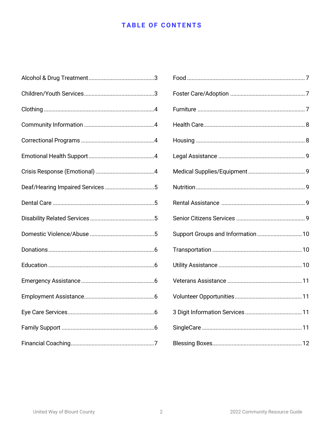# **TABLE OF CONTENTS**

| Support Groups and Information  10 |
|------------------------------------|
|                                    |
|                                    |
|                                    |
|                                    |
|                                    |
|                                    |
|                                    |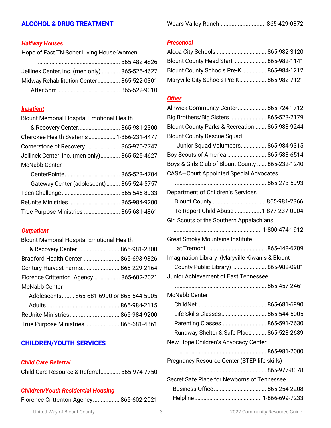# **ALCOHOL & DRUG TREATMENT**

|  | Wears Valley Ranch  865-429-0372 |
|--|----------------------------------|
|--|----------------------------------|

# *Halfway Houses*

| Hope of East TN-Sober Living House-Women       |  |
|------------------------------------------------|--|
|                                                |  |
| Jellinek Center, Inc. (men only)  865-525-4627 |  |
| Midway Rehabilitation Center 865-522-0301      |  |
|                                                |  |

# *Inpatient*

Blount Memorial Hospital Emotional Health

| & Recovery Center 865-981-2300                |            |
|-----------------------------------------------|------------|
| Cherokee Health Systems 1-866-231-4477        |            |
| Cornerstone of Recovery 865-970-7747          |            |
| Jellinek Center, Inc. (men only) 865-525-4627 |            |
| <b>McNabb Center</b>                          |            |
| ContorDointo                                  | 0655221701 |

| Gateway Center (adolescent)  865-524-5757 |  |
|-------------------------------------------|--|
|                                           |  |
| ReUnite Ministries  865-984-9200          |  |
| True Purpose Ministries  865-681-4861     |  |

# *Outpatient*

| <b>Blount Memorial Hospital Emotional Health</b> |  |
|--------------------------------------------------|--|
| & Recovery Center 865-981-2300                   |  |
| Bradford Health Center  865-693-9326             |  |
| Century Harvest Farms 865-229-2164               |  |
| Florence Crittenton Agency 865-602-2021          |  |
| McNabb Center                                    |  |
| Adolescents 865-681-6990 or 865-544-5005         |  |
|                                                  |  |
|                                                  |  |
| True Purpose Ministries 865-681-4861             |  |

# **CHILDREN/YOUTH SERVICES**

# *Child Care Referral*

Child Care Resource & Referral............. 865-974-7750

# *Children/Youth Residential Housing*

Florence Crittenton Agency................. 865-602-2021

### *Preschool*

| Blount County Head Start  865-982-1141    |  |
|-------------------------------------------|--|
| Blount County Schools Pre-K  865-984-1212 |  |
| Maryville City Schools Pre-K 865-982-7121 |  |

### *Other*

| Alnwick Community Center 865-724-1712            |  |
|--------------------------------------------------|--|
| Big Brothers/Big Sisters  865-523-2179           |  |
| Blount County Parks & Recreation 865-983-9244    |  |
| <b>Blount County Rescue Squad</b>                |  |
| Junior Squad Volunteers 865-984-9315             |  |
| Boy Scouts of America  865-588-6514              |  |
| Boys & Girls Club of Blount County  865-232-1240 |  |
| <b>CASA-Court Appointed Special Advocates</b>    |  |
|                                                  |  |
| Department of Children's Services                |  |
| Blount County  865-981-2366                      |  |
| To Report Child Abuse  1-877-237-0004            |  |
| Girl Scouts of the Southern Appalachians         |  |
|                                                  |  |
| <b>Great Smoky Mountains Institute</b>           |  |
|                                                  |  |
| Imagination Library (Maryville Kiwanis & Blount  |  |
| County Public Library)  865-982-0981             |  |
| Junior Achievement of East Tennessee             |  |
|                                                  |  |
| <b>McNabb Center</b>                             |  |
|                                                  |  |
| Life Skills Classes 865-544-5005                 |  |
| Parenting Classes 865-591-7630                   |  |
| Runaway Shelter & Safe Place  865-523-2689       |  |
| New Hope Children's Advocacy Center              |  |
|                                                  |  |
| Pregnancy Resource Center (STEP life skills)     |  |
|                                                  |  |
| Secret Safe Place for Newborns of Tennessee      |  |
|                                                  |  |
|                                                  |  |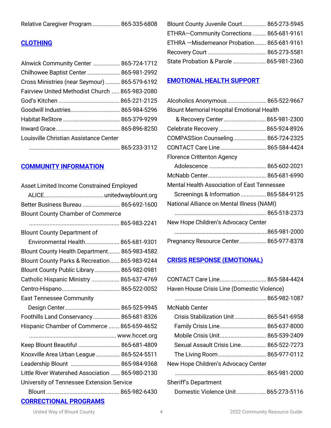| Relative Caregiver Program 865-335-6808 |  |
|-----------------------------------------|--|
|-----------------------------------------|--|

# **CLOTHING**

| Alnwick Community Center  865-724-1712         |  |
|------------------------------------------------|--|
| Chilhowee Baptist Center  865-981-2992         |  |
| Cross Ministries (near Seymour) 865-579-6192   |  |
| Fairview United Methodist Church  865-983-2080 |  |
|                                                |  |
| Goodwill Industries 865-984-5296               |  |
|                                                |  |
|                                                |  |
| Louisville Christian Assistance Center         |  |
|                                                |  |

# **COMMUNITY INFORMATION**

| Asset Limited Income Constrained Employed        |
|--------------------------------------------------|
|                                                  |
| Better Business Bureau  865-692-1600             |
| <b>Blount County Chamber of Commerce</b>         |
|                                                  |
| <b>Blount County Department of</b>               |
| Environmental Health 865-681-9301                |
| Blount County Health Department 865-983-4582     |
| Blount County Parks & Recreation 865-983-9244    |
| Blount County Public Library  865-982-0981       |
| Catholic Hispanic Ministry  865-637-4769         |
|                                                  |
| <b>East Tennessee Community</b>                  |
|                                                  |
| Foothills Land Conservancy  865-681-8326         |
| Hispanic Chamber of Commerce  865-659-4652       |
|                                                  |
| Keep Blount Beautiful  865-681-4809              |
| Knoxville Area Urban League  865-524-5511        |
| Leadership Blount  865-984-9368                  |
| Little River Watershed Association  865-980-2130 |
| University of Tennessee Extension Service        |
|                                                  |
| <b>CORRECTIONAL PROGRAMS</b>                     |

| Blount County Juvenile Court 865-273-5945  |  |
|--------------------------------------------|--|
| ETHRA-Community Corrections  865-681-9161  |  |
| ETHRA - Misdemeanor Probation 865-681-9161 |  |
|                                            |  |
| State Probation & Parole  865-981-2360     |  |

### **EMOTIONAL HEALTH SUPPORT**

| Alcoholics Anonymous 865-522-9667                  |  |
|----------------------------------------------------|--|
| <b>Blount Memorial Hospital Emotional Health</b>   |  |
| & Recovery Center 865-981-2300                     |  |
| Celebrate Recovery  865-924-8926                   |  |
| COMPASSion Counseling 865-724-2325                 |  |
| CONTACT Care Line 865-584-4424                     |  |
| <b>Florence Crittenton Agency</b>                  |  |
|                                                    |  |
|                                                    |  |
| <b>Mental Health Association of East Tennessee</b> |  |
| Screenings & Information  865-584-9125             |  |
| National Alliance on Mental Illness (NAMI)         |  |
|                                                    |  |
| New Hope Children's Advocacy Center                |  |
|                                                    |  |
| Pregnancy Resource Center 865-977-8378             |  |

# **CRISIS RESPONSE (EMOTIONAL)**

| CONTACT Care Line 865-584-4424              |  |
|---------------------------------------------|--|
| Haven House Crisis Line (Domestic Violence) |  |
|                                             |  |
| McNabb Center                               |  |
| Crisis Stabilization Unit  865-541-6958     |  |
| Family Crisis Line 865-637-8000             |  |
| Mobile Crisis Unit 865-539-2409             |  |
| Sexual Assault Crisis Line 865-522-7273     |  |
|                                             |  |
| New Hope Children's Advocacy Center         |  |
|                                             |  |
| <b>Sheriff's Department</b>                 |  |
| Domestic Violence Unit 865-273-5116         |  |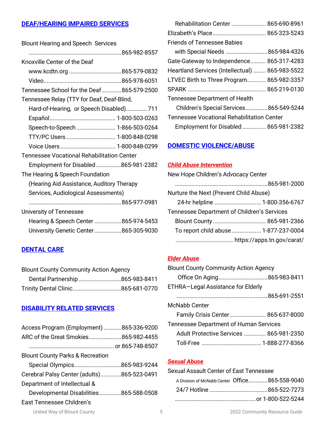# **DEAF/HEARING IMPAIRED SERVICES**

| <b>Blount Hearing and Speech Services</b>         |
|---------------------------------------------------|
|                                                   |
| Knoxville Center of the Deaf                      |
| www.kcdtn.org 865-579-0832                        |
|                                                   |
| Tennessee School for the Deaf 865-579-2500        |
| Tennessee Relay (TTY for Deaf, Deaf-Blind,        |
| Hard-of-Hearing, or Speech Disabled) 711          |
|                                                   |
| Speech-to-Speech  1-866-503-0264                  |
| TTY/PC Users 1-800-848-0298                       |
|                                                   |
| <b>Tennessee Vocational Rehabilitation Center</b> |
| Employment for Disabled865-981-2382               |
| The Hearing & Speech Foundation                   |
| (Hearing Aid Assistance, Auditory Therapy         |
| Services, Audiological Assessments)               |
|                                                   |
| University of Tennessee                           |
| Hearing & Speech Center 865-974-5453              |
| University Genetic Center 865-305-9030            |

# **DENTAL CARE**

| <b>Blount County Community Action Agency</b> |  |
|----------------------------------------------|--|
|                                              |  |
|                                              |  |

# **DISABILITY RELATED SERVICES**

| Access Program (Employment) 865-336-9200                                                                                                                                                         | Tennessee Department of Human Services<br>Adult Protective Services  865-981-2350                                |
|--------------------------------------------------------------------------------------------------------------------------------------------------------------------------------------------------|------------------------------------------------------------------------------------------------------------------|
| <b>Blount County Parks &amp; Recreation</b><br>Cerebral Palsy Center (adults)865-523-0491<br>Department of Intellectual &<br>Developmental Disabilities865-588-0508<br>East Tennessee Children's | <b>Sexual Abuse</b><br>Sexual Assault Center of East Tennessee<br>A Division of McNabb Center Office865-558-9040 |
| United Way of Blount County<br>5                                                                                                                                                                 | 2022 Community Resource Guide                                                                                    |

| Rehabilitation Center  865-690-8961               |
|---------------------------------------------------|
|                                                   |
|                                                   |
| with Special Needs 865-984-4326                   |
| Gate-Gateway to Independence 865-317-4283         |
| Heartland Services (Intellectual)  865-983-5522   |
| LTVEC Birth to Three Program 865-982-3357         |
|                                                   |
|                                                   |
| Children's Special Services865-549-5244           |
| <b>Tennessee Vocational Rehabilitation Center</b> |
| Employment for Disabled 865-981-2382              |
|                                                   |

# **DOMESTIC VIOLENCE/ABUSE**

#### *Child Abuse Intervention*

| New Hope Children's Advocacy Center                |  |
|----------------------------------------------------|--|
|                                                    |  |
| Nurture the Next (Prevent Child Abuse)             |  |
| 24-hr helpline  1-800-356-6767                     |  |
| <b>Tennessee Department of Children's Services</b> |  |
|                                                    |  |
| To report child abuse 1-877-237-0004               |  |
|                                                    |  |

# *Elder Abuse*

| <b>Blount County Community Action Agency</b>  |  |
|-----------------------------------------------|--|
| Office On Aging865-983-8411                   |  |
| ETHRA-Legal Assistance for Elderly            |  |
|                                               |  |
| McNabb Center                                 |  |
| Family Crisis Center 865-637-8000             |  |
| <b>Tennessee Department of Human Services</b> |  |
| Adult Protective Services  865-981-2350       |  |
|                                               |  |

### *Sexual Abuse*

| Sexual Assault Center of East Tennessee        |  |  |
|------------------------------------------------|--|--|
| A Division of McNabb Center Office865-558-9040 |  |  |
|                                                |  |  |
|                                                |  |  |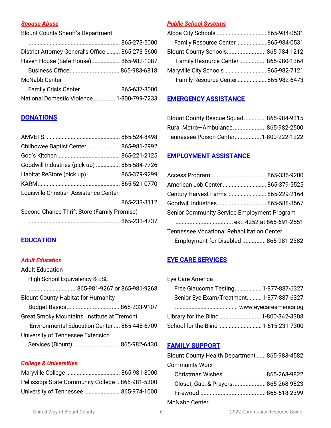### *Spouse Abuse*

Blount County Sheriff's Department

| District Attorney General's Office  865-273-5600 |  |
|--------------------------------------------------|--|
| Haven House (Safe House) 865-982-1087            |  |
|                                                  |  |
| <b>McNabb Center</b>                             |  |
| Family Crisis Center  865-637-8000               |  |
| National Domestic Violence 1-800-799-7233        |  |
|                                                  |  |

### *Public School Systems*

| Family Resource Center 865-984-0531 |  |
|-------------------------------------|--|
| Blount County Schools 865-984-1212  |  |
| Family Resource Center 865-980-1364 |  |
| Maryville City Schools 865-982-7121 |  |
| Family Resource Center 865-982-6473 |  |
|                                     |  |

# **EMERGENCY ASSISTANCE**

| Blount County Rescue Squad  865-984-9315 |  |
|------------------------------------------|--|
| Rural Metro–Ambulance 865-982-2500       |  |
| Tennessee Poison Center 1-800-222-1222   |  |

## **EMPLOYMENT ASSISTANCE**

| American Job Center  865-379-5525                 |  |  |
|---------------------------------------------------|--|--|
| Century Harvest Farms 865-229-2164                |  |  |
|                                                   |  |  |
| Senior Community Service Employment Program       |  |  |
|                                                   |  |  |
| <b>Tennessee Vocational Rehabilitation Center</b> |  |  |
| Employment for Disabled  865-981-2382             |  |  |

# **EYE CARE SERVICES**

| Eye Care America                         |  |
|------------------------------------------|--|
| Free Glaucoma Testing 1-877-887-6327     |  |
| Senior Eye Exam/Treatment 1-877-887-6327 |  |

| Senior Eye Exam/Treatment 1-877-887-6327 |  |
|------------------------------------------|--|
|                                          |  |
| Library for the Blind 1-800-342-3308     |  |
| School for the Blind  1-615-231-7300     |  |

# **FAMILY SUPPORT**

| Blount County Health Department 865-983-4582 |  |
|----------------------------------------------|--|
| <b>Community Worx</b>                        |  |
| Christmas Wishes  865-268-9822               |  |
| Closet, Gap, & Prayers 865-268-9823          |  |
|                                              |  |
| McNabb Center                                |  |

# **DONATIONS**

| Chilhowee Baptist Center  865-981-2992      |  |
|---------------------------------------------|--|
|                                             |  |
| Goodwill Industries (pick up)  865-584-7726 |  |
| Habitat ReStore (pick up)  865-379-9299     |  |
|                                             |  |
| Louisville Christian Assistance Center      |  |
|                                             |  |
| Second Chance Thrift Store (Family Promise) |  |
|                                             |  |
|                                             |  |

# **EDUCATION**

### *Adult Education*

| <b>Adult Education</b>                            |
|---------------------------------------------------|
| High School Equivalency & ESL                     |
|                                                   |
| <b>Blount County Habitat for Humanity</b>         |
|                                                   |
| <b>Great Smoky Mountains Institute at Tremont</b> |
| Environmental Education Center  865-448-6709      |
| University of Tennessee Extension                 |
| Services (Blount) 865-982-6430                    |

# *College & Universities*

| Pellissippi State Community College  865-981-5300 |  |
|---------------------------------------------------|--|
| University of Tennessee  865-974-1000             |  |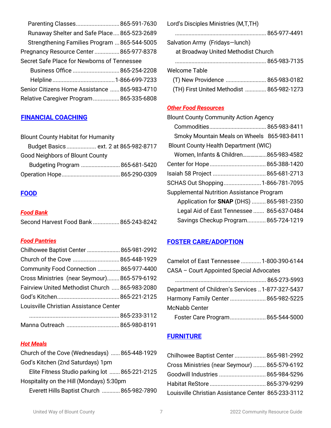| Parenting Classes 865-591-7630                |  |
|-----------------------------------------------|--|
| Runaway Shelter and Safe Place 865-523-2689   |  |
| Strengthening Families Program  865-544-5005  |  |
| Pregnancy Resource Center865-977-8378         |  |
| Secret Safe Place for Newborns of Tennessee   |  |
| Business Office  865-254-2208                 |  |
|                                               |  |
| Senior Citizens Home Assistance  865-983-4710 |  |
| Relative Caregiver Program 865-335-6808       |  |

### **FINANCIAL COACHING**

| <b>Blount County Habitat for Humanity</b> |  |
|-------------------------------------------|--|
| Budget Basics ext. 2 at 865-982-8717      |  |
| <b>Good Neighbors of Blount County</b>    |  |
| Budgeting Program  865-681-5420           |  |
|                                           |  |
|                                           |  |

### **FOOD**

#### *Food Bank*

| Second Harvest Food Bank  865-243-8242 |  |
|----------------------------------------|--|
|                                        |  |

### *Food Pantries*

| Chilhowee Baptist Center  865-981-2992         |  |
|------------------------------------------------|--|
|                                                |  |
| Community Food Connection  865-977-4400        |  |
| Cross Ministries (near Seymour)865-579-6192    |  |
| Fairview United Methodist Church  865-983-2080 |  |
|                                                |  |
| Louisville Christian Assistance Center         |  |
|                                                |  |
|                                                |  |

### *Hot Meals*

Church of the Cove (Wednesdays) ......865-448-1929 God's Kitchen (2nd Saturdays) 1pm

Elite Fitness Studio parking lot ....... 865-221-2125 Hospitality on the Hill (Mondays) 5:30pm

Everett Hills Baptist Church ............865-982-7890

| Lord's Disciples Ministries (M,T,TH)      |  |
|-------------------------------------------|--|
|                                           |  |
| Salvation Army (Fridays-lunch)            |  |
| at Broadway United Methodist Church       |  |
|                                           |  |
| <b>Welcome Table</b>                      |  |
| (T) New Providence  865-983-0182          |  |
| (TH) First United Methodist  865-982-1273 |  |

### *Other Food Resources*

| <b>Blount County Community Action Agency</b>     |  |
|--------------------------------------------------|--|
|                                                  |  |
| Smoky Mountain Meals on Wheels 865-983-8411      |  |
| <b>Blount County Health Department (WIC)</b>     |  |
| Women, Infants & Children865-983-4582            |  |
|                                                  |  |
|                                                  |  |
| SCHAS Out Shopping 1-866-781-7095                |  |
| <b>Supplemental Nutrition Assistance Program</b> |  |
| Application for <b>SNAP</b> (DHS)  865-981-2350  |  |
| Legal Aid of East Tennessee  865-637-0484        |  |
| Savings Checkup Program 865-724-1219             |  |

# **FOSTER CARE/ADOPTION**

| Camelot of East Tennessee  1-800-390-6144        |  |
|--------------------------------------------------|--|
| CASA - Court Appointed Special Advocates         |  |
|                                                  |  |
| Department of Children's Services 1-877-327-5437 |  |
| Harmony Family Center  865-982-5225              |  |
| <b>McNabb Center</b>                             |  |
| Foster Care Program 865-544-5000                 |  |

### **FURNITURE**

| Chilhowee Baptist Center  865-981-2992              |  |
|-----------------------------------------------------|--|
| Cross Ministries (near Seymour)  865-579-6192       |  |
| Goodwill Industries  865-984-5296                   |  |
|                                                     |  |
| Louisville Christian Assistance Center 865-233-3112 |  |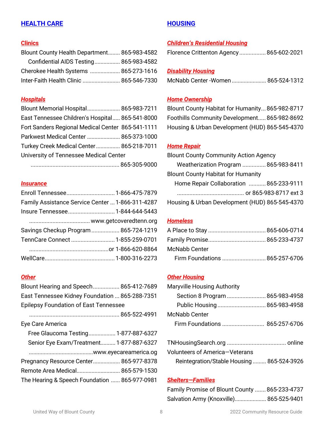# **HEALTH CARE**

### **Clinics**

| Blount County Health Department 865-983-4582 |  |
|----------------------------------------------|--|
| Confidential AIDS Testing 865-983-4582       |  |
| Cherokee Health Systems  865-273-1616        |  |
| Inter-Faith Health Clinic  865-546-7330      |  |

### *Hospitals*

| Blount Memorial Hospital 865-983-7211             |  |
|---------------------------------------------------|--|
| East Tennessee Children's Hospital 865-541-8000   |  |
| Fort Sanders Regional Medical Center 865-541-1111 |  |
| Parkwest Medical Center  865-373-1000             |  |
| Turkey Creek Medical Center 865-218-7011          |  |
| University of Tennessee Medical Center            |  |
|                                                   |  |

......................................................... 865-305-9000

#### *Insurance*

| Family Assistance Service Center  1-866-311-4287 |  |
|--------------------------------------------------|--|
|                                                  |  |
|                                                  |  |
| Savings Checkup Program  865-724-1219            |  |
| TennCare Connect  1-855-259-0701                 |  |
|                                                  |  |
|                                                  |  |

### *Other*

| Blount Hearing and Speech 865-412-7689         |
|------------------------------------------------|
| East Tennessee Kidney Foundation  865-288-7351 |
| <b>Epilepsy Foundation of East Tennessee</b>   |
|                                                |
| Eye Care America                               |
| Free Glaucoma Testing 1-877-887-6327           |
| Senior Eye Exam/Treatment 1-877-887-6327       |
|                                                |
| Pregnancy Resource Center 865-977-8378         |
| Remote Area Medical 865-579-1530               |
| The Hearing & Speech Foundation  865-977-0981  |

### **HOUSING**

### *Children's Residential Housing*

Florence Crittenton Agency................. 865-602-2021

### *Disability Housing*

| McNabb Center -Women  865-524-1312 |  |
|------------------------------------|--|
|                                    |  |

### *Home Ownership*

Blount County Habitat for Humanity...865-982-8717 Foothills Community Development..... 865-982-8692 Housing & Urban Development (HUD) 865-545-4370

### *Home Repair*

| <b>Blount County Community Action Agency</b>   |  |
|------------------------------------------------|--|
| Weatherization Program  865-983-8411           |  |
| <b>Blount County Habitat for Humanity</b>      |  |
| Home Repair Collaboration  865-233-9111        |  |
|                                                |  |
| Housing & Urban Development (HUD) 865-545-4370 |  |
|                                                |  |

### *Homeless*

| McNabb Center                  |  |
|--------------------------------|--|
| Firm Foundations  865-257-6706 |  |

### *Other Housing*

| <b>Maryville Housing Authority</b> |  |
|------------------------------------|--|
| Section 8 Program  865-983-4958    |  |
|                                    |  |
| <b>McNabb Center</b>               |  |
|                                    |  |
|                                    |  |

| Volunteers of America–Veterans             |  |
|--------------------------------------------|--|
| Reintegration/Stable Housing  865-524-3926 |  |

### *Shelters—Families*

| Family Promise of Blount County  865-233-4737 |
|-----------------------------------------------|
| Salvation Army (Knoxville) 865-525-9401       |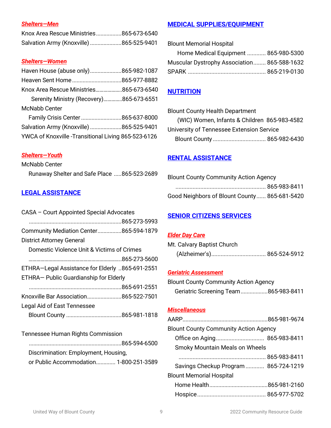# *Shelters—Men*

| Knox Area Rescue Ministries865-673-6540 |  |
|-----------------------------------------|--|
| Salvation Army (Knoxville) 865-525-9401 |  |

### *Shelters—Women*

| Haven House (abuse only)865-982-1087                |  |
|-----------------------------------------------------|--|
|                                                     |  |
| Knox Area Rescue Ministries865-673-6540             |  |
| Serenity Ministry (Recovery)865-673-6551            |  |
| <b>McNabb Center</b>                                |  |
| Family Crisis Center 865-637-8000                   |  |
| Salvation Army (Knoxville) 865-525-9401             |  |
| YWCA of Knoxville -Transitional Living 865-523-6126 |  |

# *Shelters—Youth*

McNabb Center Runaway Shelter and Safe Place .....865-523-2689

# **LEGAL ASSISTANCE**

| CASA - Court Appointed Special Advocates        |  |
|-------------------------------------------------|--|
|                                                 |  |
| Community Mediation Center865-594-1879          |  |
| <b>District Attorney General</b>                |  |
| Domestic Violence Unit & Victims of Crimes      |  |
|                                                 |  |
| ETHRA-Legal Assistance for Elderly 865-691-2551 |  |
| ETHRA- Public Guardianship for Elderly          |  |
|                                                 |  |
| Knoxville Bar Association865-522-7501           |  |
| Legal Aid of East Tennessee                     |  |
|                                                 |  |
|                                                 |  |

# Tennessee Human Rights Commission

| Discrimination: Employment, Housing,   |  |
|----------------------------------------|--|
| or Public Accommodation 1-800-251-3589 |  |

# **MEDICAL SUPPLIES/EQUIPMENT**

Blount Memorial Hospital

| Home Medical Equipment  865-980-5300        |  |
|---------------------------------------------|--|
| Muscular Dystrophy Association 865-588-1632 |  |
|                                             |  |

# **NUTRITION**

| <b>Blount County Health Department</b>       |  |
|----------------------------------------------|--|
| (WIC) Women, Infants & Children 865-983-4582 |  |
| University of Tennessee Extension Service    |  |
|                                              |  |

# **RENTAL ASSISTANCE**

| <b>Blount County Community Action Agency</b> |  |
|----------------------------------------------|--|
|                                              |  |
| Good Neighbors of Blount County 865-681-5420 |  |

# **SENIOR CITIZENS SERVICES**

### *Elder Day Care*

| Mt. Calvary Baptist Church |  |
|----------------------------|--|
|                            |  |

### *Geriatric Assessment*

| <b>Blount County Community Action Agency</b> |                                      |  |
|----------------------------------------------|--------------------------------------|--|
|                                              | Geriatric Screening Team865-983-8411 |  |

# *Miscellaneous*

| <b>Blount County Community Action Agency</b> |  |  |
|----------------------------------------------|--|--|
|                                              |  |  |
| <b>Smoky Mountain Meals on Wheels</b>        |  |  |
|                                              |  |  |
| Savings Checkup Program  865-724-1219        |  |  |
| <b>Blount Memorial Hospital</b>              |  |  |
|                                              |  |  |
|                                              |  |  |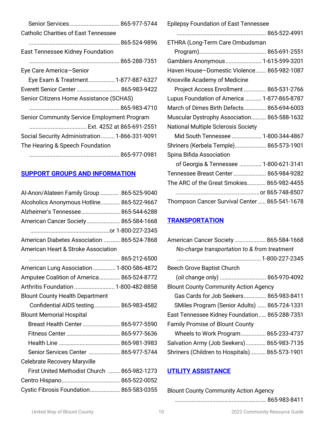| Senior Services 865-977-5744                  |
|-----------------------------------------------|
| Catholic Charities of East Tennessee          |
|                                               |
| East Tennessee Kidney Foundation              |
|                                               |
| Eye Care America-Senior                       |
| Eye Exam & Treatment 1-877-887-6327           |
| Everett Senior Center  865-983-9422           |
| Senior Citizens Home Assistance (SCHAS)       |
|                                               |
| Senior Community Service Employment Program   |
| Ext. 4252 at 865-691-2551                     |
| Social Security Administration 1-866-331-9091 |
| The Hearing & Speech Foundation               |
|                                               |

# **SUPPORT GROUPS AND INFORMATION**

| Al-Anon/Alateen Family Group  865-525-9040  |  |
|---------------------------------------------|--|
| Alcoholics Anonymous Hotline 865-522-9667   |  |
| Alzheimer's Tennessee 865-544-6288          |  |
| American Cancer Society  865-584-1668       |  |
|                                             |  |
| American Diabetes Association  865-524-7868 |  |
| American Heart & Stroke Association         |  |
|                                             |  |
| American Lung Association  1-800-586-4872   |  |
| Amputee Coalition of America 865-524-8772   |  |
| Arthritis Foundation  1-800-482-8858        |  |
| <b>Blount County Health Department</b>      |  |
| Confidential AIDS testing 865-983-4582      |  |
| <b>Blount Memorial Hospital</b>             |  |
| Breast Health Center  865-977-5590          |  |
|                                             |  |
|                                             |  |
| Senior Services Center  865-977-5744        |  |
| <b>Celebrate Recovery Maryville</b>         |  |
| First United Methodist Church  865-982-1273 |  |
|                                             |  |
| Cystic Fibrosis Foundation 865-583-0355     |  |
|                                             |  |

Epilepsy Foundation of East Tennessee

| Epilepsy Foundation of East Tennessee         |
|-----------------------------------------------|
|                                               |
| ETHRA (Long-Term Care Ombudsman               |
|                                               |
| Gamblers Anonymous  1-615-599-3201            |
| Haven House-Domestic Violence 865-982-1087    |
| Knoxville Academy of Medicine                 |
| Project Access Enrollment  865-531-2766       |
| Lupus Foundation of America  1-877-865-8787   |
| March of Dimes Birth Defects 865-694-6003     |
| Muscular Dystrophy Association 865-588-1632   |
| <b>National Multiple Sclerosis Society</b>    |
| Mid South Tennessee  1-800-344-4867           |
| Shriners (Kerbela Temple) 865-573-1901        |
| Spina Bifida Association                      |
| of Georgia & Tennessee  1-800-621-3141        |
| Tennessee Breast Center  865-984-9282         |
| The ARC of the Great Smokies 865-982-4455     |
|                                               |
| Thompson Cancer Survival Center  865-541-1678 |
|                                               |

# **TRANSPORTATION**

| American Cancer Society  865-584-1668         |  |
|-----------------------------------------------|--|
| No-charge transportation to & from treatment  |  |
|                                               |  |
| <b>Beech Grove Baptist Church</b>             |  |
|                                               |  |
| <b>Blount County Community Action Agency</b>  |  |
| Gas Cards for Job Seekers 865-983-8411        |  |
| SMiles Program (Senior Adults)  865-724-1331  |  |
| East Tennessee Kidney Foundation 865-288-7351 |  |
| <b>Family Promise of Blount County</b>        |  |
| Wheels to Work Program 865-233-4737           |  |
| Salvation Army (Job Seekers) 865-983-7135     |  |
| Shriners (Children to Hospitals) 865-573-1901 |  |

# **UTILITY ASSISTANCE**

Blount County Community Action Agency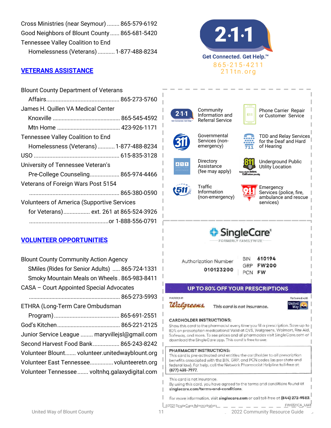| Cross Ministries (near Seymour)  865-579-6192 |  |
|-----------------------------------------------|--|
| Good Neighbors of Blount County  865-681-5420 |  |
| Tennessee Valley Coalition to End             |  |
| Homelessness (Veterans) 1-877-488-8234        |  |

# **VETERANS ASSISTANCE**

| <b>Blount County Department of Veterans</b>       |  |
|---------------------------------------------------|--|
|                                                   |  |
| James H. Quillen VA Medical Center                |  |
|                                                   |  |
|                                                   |  |
| Tennessee Valley Coalition to End                 |  |
| Homelessness (Veterans) 1-877-488-8234            |  |
|                                                   |  |
| University of Tennessee Veteran's                 |  |
| Pre-College Counseling 865-974-4466               |  |
| Veterans of Foreign Wars Post 5154                |  |
|                                                   |  |
| <b>Volunteers of America (Supportive Services</b> |  |
| for Veterans) ext. 261 at 865-524-3926            |  |
|                                                   |  |

# **VOLUNTEER OPPORTUNITIES**

| <b>Blount County Community Action Agency</b><br>SMiles (Rides for Senior Adults)  865-724-1331<br>Smoky Mountain Meals on Wheels. 865-983-8411 |
|------------------------------------------------------------------------------------------------------------------------------------------------|
| CASA - Court Appointed Special Advocates                                                                                                       |
|                                                                                                                                                |
| ETHRA (Long-Term Care Ombudsman                                                                                                                |
|                                                                                                                                                |
|                                                                                                                                                |
| Junior Service League  maryvillejsl@gmail.com                                                                                                  |
| Second Harvest Food Bank 865-243-8242                                                                                                          |
| Volunteer Blount volunteer.unitedwayblount.org                                                                                                 |
| Volunteer East Tennessee volunteeretn.org                                                                                                      |
| Volunteer Tennessee  voltnhq.galaxydigital.com                                                                                                 |





For more information, visit singlecare.com or call toll-free at (844) 272-9582.

©2021 SingleCare Administrators

United Way of Blount County 11 2022 Single Care Administrators - - - - - - - - - EW0321CA\_UWE<br>2022 Community Resource Guide